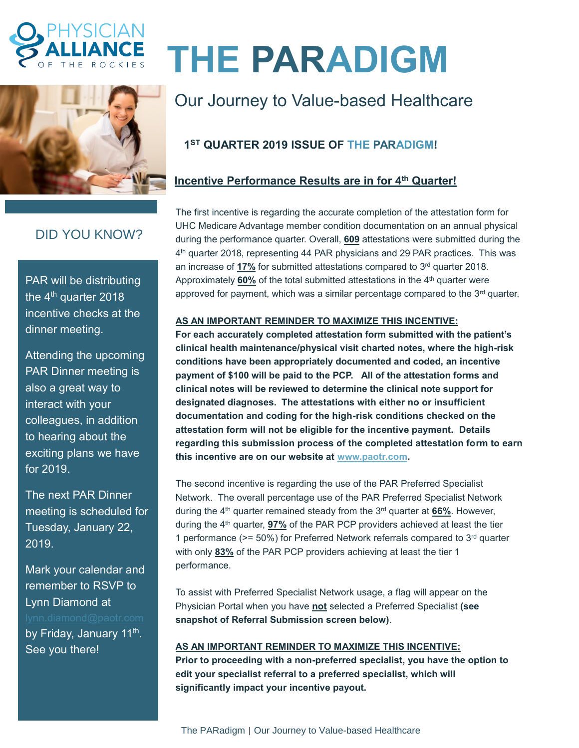



## DID YOU KNOW?

PAR will be distributing the 4<sup>th</sup> quarter 2018 incentive checks at the dinner meeting.

Attending the upcoming PAR Dinner meeting is also a great way to interact with your colleagues, in addition to hearing about the exciting plans we have for 2019.

The next PAR Dinner meeting is scheduled for Tuesday, January 22, 2019.

Mark your calendar and remember to RSVP to Lynn Diamond at by Friday, January 11<sup>th</sup>. See you there!

# **THE PARADIGM**

# Our Journey to Value-based Healthcare

## **1 ST QUARTER 2019 ISSUE OF THE PARADIGM!**

#### **Incentive Performance Results are in for 4 th Quarter!**

The first incentive is regarding the accurate completion of the attestation form for UHC Medicare Advantage member condition documentation on an annual physical during the performance quarter. Overall, **609** attestations were submitted during the 4<sup>th</sup> quarter 2018, representing 44 PAR physicians and 29 PAR practices. This was an increase of **17%** for submitted attestations compared to 3<sup>rd</sup> quarter 2018. Approximately 60% of the total submitted attestations in the 4<sup>th</sup> quarter were approved for payment, which was a similar percentage compared to the  $3<sup>rd</sup>$  quarter.

#### **AS AN IMPORTANT REMINDER TO MAXIMIZE THIS INCENTIVE:**

**For each accurately completed attestation form submitted with the patient's clinical health maintenance/physical visit charted notes, where the high-risk conditions have been appropriately documented and coded, an incentive payment of \$100 will be paid to the PCP. All of the attestation forms and clinical notes will be reviewed to determine the clinical note support for designated diagnoses. The attestations with either no or insufficient documentation and coding for the high-risk conditions checked on the attestation form will not be eligible for the incentive payment. Details regarding this submission process of the completed attestation form to earn this incentive are on our website at [www.paotr.com.](http://www.paotr.com/)** 

The second incentive is regarding the use of the PAR Preferred Specialist Network. The overall percentage use of the PAR Preferred Specialist Network during the 4 th quarter remained steady from the 3rd quarter at **66%**. However, during the 4th quarter, **97%** of the PAR PCP providers achieved at least the tier 1 performance ( $>= 50\%$ ) for Preferred Network referrals compared to  $3<sup>rd</sup>$  quarter with only **83%** of the PAR PCP providers achieving at least the tier 1 performance.

To assist with Preferred Specialist Network usage, a flag will appear on the Physician Portal when you have **not** selected a Preferred Specialist **(see snapshot of Referral Submission screen below)**.

#### **AS AN IMPORTANT REMINDER TO MAXIMIZE THIS INCENTIVE:**

**Prior to proceeding with a non-preferred specialist, you have the option to edit your specialist referral to a preferred specialist, which will significantly impact your incentive payout.**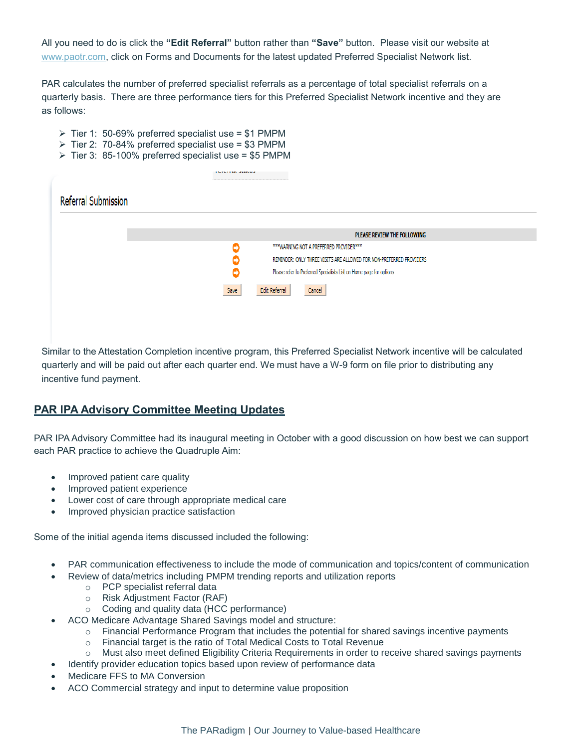All you need to do is click the **"Edit Referral"** button rather than **"Save"** button. Please visit our website at [www.paotr.com,](http://www.paotr.com/) click on Forms and Documents for the latest updated Preferred Specialist Network list.

PAR calculates the number of preferred specialist referrals as a percentage of total specialist referrals on a quarterly basis. There are three performance tiers for this Preferred Specialist Network incentive and they are as follows:

- $\triangleright$  Tier 1: 50-69% preferred specialist use = \$1 PMPM
- $\triangleright$  Tier 2: 70-84% preferred specialist use = \$3 PMPM
- ➢ Tier 3: 85-100% preferred specialist use = \$5 PMPM

|                            | TUTUTTUE JEREGJ                                                          |
|----------------------------|--------------------------------------------------------------------------|
| <b>Referral Submission</b> |                                                                          |
|                            | PLEASE REVIEW THE FOLLOWING                                              |
|                            | *** WARNING NOT A PREFERRED PROVIDER***                                  |
|                            | REMINDER: ONLY THREE VISITS ARE ALLOWED FOR NON-PREFERRED PROVIDERS      |
|                            | Please refer to Preferred Specialists List on Home page for options<br>O |
|                            | Save<br><b>Edit Referral</b><br>Cancel                                   |
|                            |                                                                          |
|                            |                                                                          |

Similar to the Attestation Completion incentive program, this Preferred Specialist Network incentive will be calculated quarterly and will be paid out after each quarter end. We must have a W-9 form on file prior to distributing any incentive fund payment.

#### **PAR IPA Advisory Committee Meeting Updates**

PAR IPA Advisory Committee had its inaugural meeting in October with a good discussion on how best we can support each PAR practice to achieve the Quadruple Aim:

- Improved patient care quality
- Improved patient experience
- Lower cost of care through appropriate medical care
- Improved physician practice satisfaction

Some of the initial agenda items discussed included the following:

- PAR communication effectiveness to include the mode of communication and topics/content of communication
	- Review of data/metrics including PMPM trending reports and utilization reports
		- o PCP specialist referral data
			- o Risk Adjustment Factor (RAF)
		- o Coding and quality data (HCC performance)
	- ACO Medicare Advantage Shared Savings model and structure:
		- o Financial Performance Program that includes the potential for shared savings incentive payments
		- o Financial target is the ratio of Total Medical Costs to Total Revenue
		- o Must also meet defined Eligibility Criteria Requirements in order to receive shared savings payments
	- Identify provider education topics based upon review of performance data
- Medicare FFS to MA Conversion
- ACO Commercial strategy and input to determine value proposition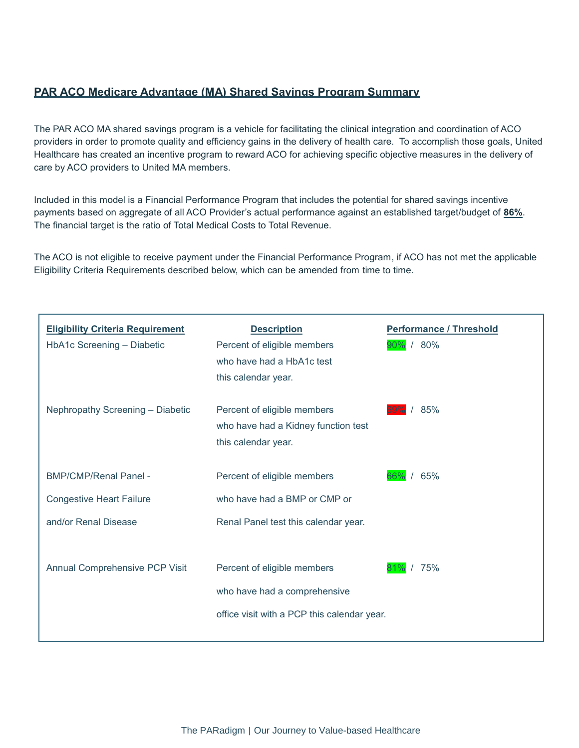#### **PAR ACO Medicare Advantage (MA) Shared Savings Program Summary**

The PAR ACO MA shared savings program is a vehicle for facilitating the clinical integration and coordination of ACO providers in order to promote quality and efficiency gains in the delivery of health care. To accomplish those goals, United Healthcare has created an incentive program to reward ACO for achieving specific objective measures in the delivery of care by ACO providers to United MA members.

Included in this model is a Financial Performance Program that includes the potential for shared savings incentive payments based on aggregate of all ACO Provider's actual performance against an established target/budget of **86%**. The financial target is the ratio of Total Medical Costs to Total Revenue.

The ACO is not eligible to receive payment under the Financial Performance Program, if ACO has not met the applicable Eligibility Criteria Requirements described below, which can be amended from time to time.

| <b>Eligibility Criteria Requirement</b><br>HbA1c Screening - Diabetic | <b>Description</b><br>Percent of eligible members<br>who have had a HbA1c test<br>this calendar year.      | <b>Performance / Threshold</b><br>90% / 80% |
|-----------------------------------------------------------------------|------------------------------------------------------------------------------------------------------------|---------------------------------------------|
| Nephropathy Screening - Diabetic                                      | Percent of eligible members<br>who have had a Kidney function test<br>this calendar year.                  | 85%                                         |
| <b>BMP/CMP/Renal Panel -</b>                                          | Percent of eligible members                                                                                | 65%<br>66%                                  |
| <b>Congestive Heart Failure</b>                                       | who have had a BMP or CMP or                                                                               |                                             |
| and/or Renal Disease                                                  | Renal Panel test this calendar year.                                                                       |                                             |
| Annual Comprehensive PCP Visit                                        | Percent of eligible members<br>who have had a comprehensive<br>office visit with a PCP this calendar year. | 75%<br>$\prime$                             |
|                                                                       |                                                                                                            |                                             |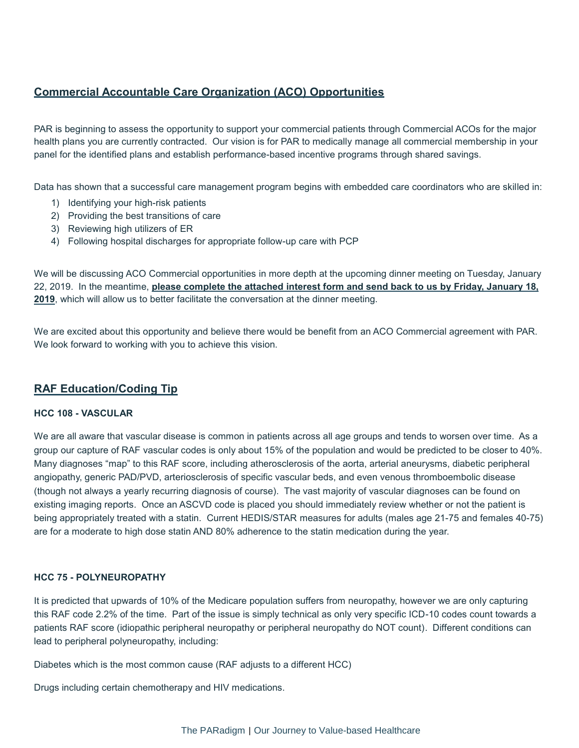#### **Commercial Accountable Care Organization (ACO) Opportunities**

PAR is beginning to assess the opportunity to support your commercial patients through Commercial ACOs for the major health plans you are currently contracted. Our vision is for PAR to medically manage all commercial membership in your panel for the identified plans and establish performance-based incentive programs through shared savings.

Data has shown that a successful care management program begins with embedded care coordinators who are skilled in:

- 1) Identifying your high-risk patients
- 2) Providing the best transitions of care
- 3) Reviewing high utilizers of ER
- 4) Following hospital discharges for appropriate follow-up care with PCP

We will be discussing ACO Commercial opportunities in more depth at the upcoming dinner meeting on Tuesday, January 22, 2019. In the meantime, **please complete the attached interest form and send back to us by Friday, January 18, 2019**, which will allow us to better facilitate the conversation at the dinner meeting.

We are excited about this opportunity and believe there would be benefit from an ACO Commercial agreement with PAR. We look forward to working with you to achieve this vision.

#### **RAF Education/Coding Tip**

#### **HCC 108 - VASCULAR**

We are all aware that vascular disease is common in patients across all age groups and tends to worsen over time. As a group our capture of RAF vascular codes is only about 15% of the population and would be predicted to be closer to 40%. Many diagnoses "map" to this RAF score, including atherosclerosis of the aorta, arterial aneurysms, diabetic peripheral angiopathy, generic PAD/PVD, arteriosclerosis of specific vascular beds, and even venous thromboembolic disease (though not always a yearly recurring diagnosis of course). The vast majority of vascular diagnoses can be found on existing imaging reports. Once an ASCVD code is placed you should immediately review whether or not the patient is being appropriately treated with a statin. Current HEDIS/STAR measures for adults (males age 21-75 and females 40-75) are for a moderate to high dose statin AND 80% adherence to the statin medication during the year.

#### **HCC 75 - POLYNEUROPATHY**

It is predicted that upwards of 10% of the Medicare population suffers from neuropathy, however we are only capturing this RAF code 2.2% of the time. Part of the issue is simply technical as only very specific ICD-10 codes count towards a patients RAF score (idiopathic peripheral neuropathy or peripheral neuropathy do NOT count). Different conditions can lead to peripheral polyneuropathy, including:

Diabetes which is the most common cause (RAF adjusts to a different HCC)

Drugs including certain chemotherapy and HIV medications.